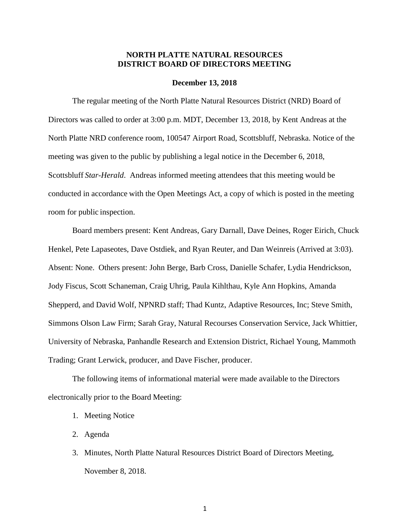### **NORTH PLATTE NATURAL RESOURCES DISTRICT BOARD OF DIRECTORS MEETING**

#### **December 13, 2018**

The regular meeting of the North Platte Natural Resources District (NRD) Board of Directors was called to order at 3:00 p.m. MDT, December 13, 2018, by Kent Andreas at the North Platte NRD conference room, 100547 Airport Road, Scottsbluff, Nebraska. Notice of the meeting was given to the public by publishing a legal notice in the December 6, 2018, Scottsbluff *Star-Herald*. Andreas informed meeting attendees that this meeting would be conducted in accordance with the Open Meetings Act, a copy of which is posted in the meeting room for public inspection.

Board members present: Kent Andreas, Gary Darnall, Dave Deines, Roger Eirich, Chuck Henkel, Pete Lapaseotes, Dave Ostdiek, and Ryan Reuter, and Dan Weinreis (Arrived at 3:03). Absent: None. Others present: John Berge, Barb Cross, Danielle Schafer, Lydia Hendrickson, Jody Fiscus, Scott Schaneman, Craig Uhrig, Paula Kihlthau, Kyle Ann Hopkins, Amanda Shepperd, and David Wolf, NPNRD staff; Thad Kuntz, Adaptive Resources, Inc; Steve Smith, Simmons Olson Law Firm; Sarah Gray, Natural Recourses Conservation Service, Jack Whittier, University of Nebraska, Panhandle Research and Extension District, Richael Young, Mammoth Trading; Grant Lerwick, producer, and Dave Fischer, producer.

The following items of informational material were made available to the Directors electronically prior to the Board Meeting:

- 1. Meeting Notice
- 2. Agenda
- 3. Minutes, North Platte Natural Resources District Board of Directors Meeting, November 8, 2018.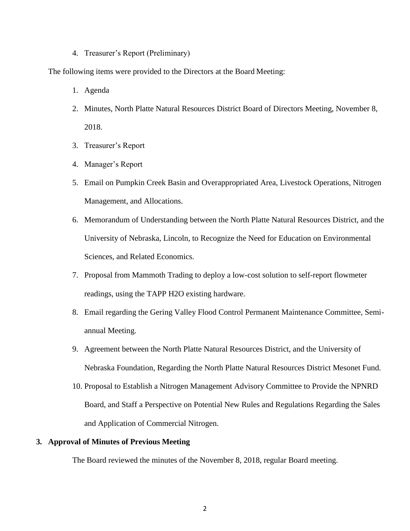#### 4. Treasurer's Report (Preliminary)

The following items were provided to the Directors at the Board Meeting:

- 1. Agenda
- 2. Minutes, North Platte Natural Resources District Board of Directors Meeting, November 8, 2018.
- 3. Treasurer's Report
- 4. Manager's Report
- 5. Email on Pumpkin Creek Basin and Overappropriated Area, Livestock Operations, Nitrogen Management, and Allocations.
- 6. Memorandum of Understanding between the North Platte Natural Resources District, and the University of Nebraska, Lincoln, to Recognize the Need for Education on Environmental Sciences, and Related Economics.
- 7. Proposal from Mammoth Trading to deploy a low-cost solution to self-report flowmeter readings, using the TAPP H2O existing hardware.
- 8. Email regarding the Gering Valley Flood Control Permanent Maintenance Committee, Semiannual Meeting.
- 9. Agreement between the North Platte Natural Resources District, and the University of Nebraska Foundation, Regarding the North Platte Natural Resources District Mesonet Fund.
- 10. Proposal to Establish a Nitrogen Management Advisory Committee to Provide the NPNRD Board, and Staff a Perspective on Potential New Rules and Regulations Regarding the Sales and Application of Commercial Nitrogen.

### **3. Approval of Minutes of Previous Meeting**

The Board reviewed the minutes of the November 8, 2018, regular Board meeting.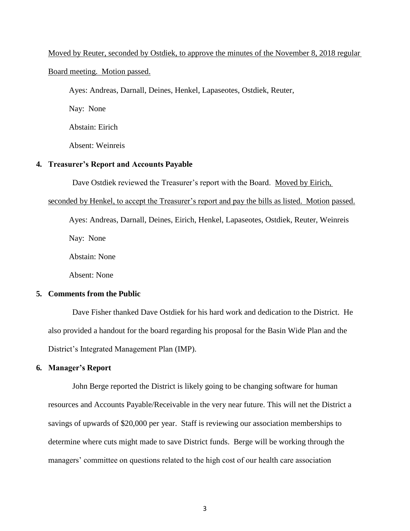#### Moved by Reuter, seconded by Ostdiek, to approve the minutes of the November 8, 2018 regular

#### Board meeting. Motion passed.

Ayes: Andreas, Darnall, Deines, Henkel, Lapaseotes, Ostdiek, Reuter,

Nay: None

Abstain: Eirich

Absent: Weinreis

#### **4. Treasurer's Report and Accounts Payable**

Dave Ostdiek reviewed the Treasurer's report with the Board. Moved by Eirich,

#### seconded by Henkel, to accept the Treasurer's report and pay the bills as listed. Motion passed.

Ayes: Andreas, Darnall, Deines, Eirich, Henkel, Lapaseotes, Ostdiek, Reuter, Weinreis Nay: None

Abstain: None

Absent: None

#### **5. Comments from the Public**

Dave Fisher thanked Dave Ostdiek for his hard work and dedication to the District. He also provided a handout for the board regarding his proposal for the Basin Wide Plan and the District's Integrated Management Plan (IMP).

### **6. Manager's Report**

John Berge reported the District is likely going to be changing software for human resources and Accounts Payable/Receivable in the very near future. This will net the District a savings of upwards of \$20,000 per year. Staff is reviewing our association memberships to determine where cuts might made to save District funds. Berge will be working through the managers' committee on questions related to the high cost of our health care association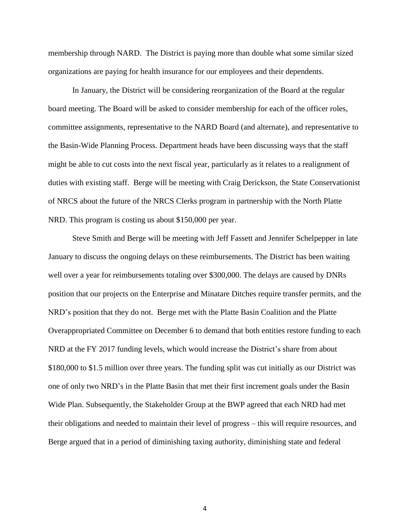membership through NARD. The District is paying more than double what some similar sized organizations are paying for health insurance for our employees and their dependents.

In January, the District will be considering reorganization of the Board at the regular board meeting. The Board will be asked to consider membership for each of the officer roles, committee assignments, representative to the NARD Board (and alternate), and representative to the Basin-Wide Planning Process. Department heads have been discussing ways that the staff might be able to cut costs into the next fiscal year, particularly as it relates to a realignment of duties with existing staff. Berge will be meeting with Craig Derickson, the State Conservationist of NRCS about the future of the NRCS Clerks program in partnership with the North Platte NRD. This program is costing us about \$150,000 per year.

Steve Smith and Berge will be meeting with Jeff Fassett and Jennifer Schelpepper in late January to discuss the ongoing delays on these reimbursements. The District has been waiting well over a year for reimbursements totaling over \$300,000. The delays are caused by DNRs position that our projects on the Enterprise and Minatare Ditches require transfer permits, and the NRD's position that they do not. Berge met with the Platte Basin Coalition and the Platte Overappropriated Committee on December 6 to demand that both entities restore funding to each NRD at the FY 2017 funding levels, which would increase the District's share from about \$180,000 to \$1.5 million over three years. The funding split was cut initially as our District was one of only two NRD's in the Platte Basin that met their first increment goals under the Basin Wide Plan. Subsequently, the Stakeholder Group at the BWP agreed that each NRD had met their obligations and needed to maintain their level of progress – this will require resources, and Berge argued that in a period of diminishing taxing authority, diminishing state and federal

4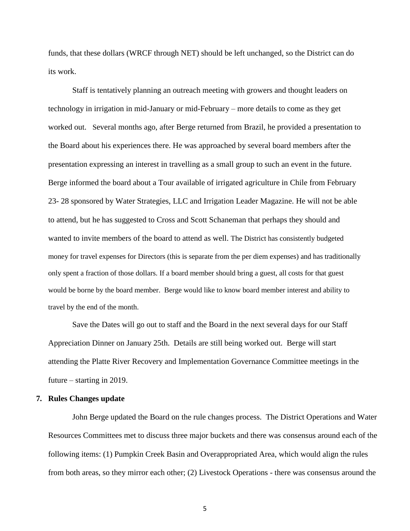funds, that these dollars (WRCF through NET) should be left unchanged, so the District can do its work.

Staff is tentatively planning an outreach meeting with growers and thought leaders on technology in irrigation in mid-January or mid-February – more details to come as they get worked out. Several months ago, after Berge returned from Brazil, he provided a presentation to the Board about his experiences there. He was approached by several board members after the presentation expressing an interest in travelling as a small group to such an event in the future. Berge informed the board about a Tour available of irrigated agriculture in Chile from February 23- 28 sponsored by Water Strategies, LLC and Irrigation Leader Magazine. He will not be able to attend, but he has suggested to Cross and Scott Schaneman that perhaps they should and wanted to invite members of the board to attend as well. The District has consistently budgeted money for travel expenses for Directors (this is separate from the per diem expenses) and has traditionally only spent a fraction of those dollars. If a board member should bring a guest, all costs for that guest would be borne by the board member. Berge would like to know board member interest and ability to travel by the end of the month.

Save the Dates will go out to staff and the Board in the next several days for our Staff Appreciation Dinner on January 25th. Details are still being worked out. Berge will start attending the Platte River Recovery and Implementation Governance Committee meetings in the future – starting in 2019.

#### **7. Rules Changes update**

John Berge updated the Board on the rule changes process. The District Operations and Water Resources Committees met to discuss three major buckets and there was consensus around each of the following items: (1) Pumpkin Creek Basin and Overappropriated Area, which would align the rules from both areas, so they mirror each other; (2) Livestock Operations - there was consensus around the

5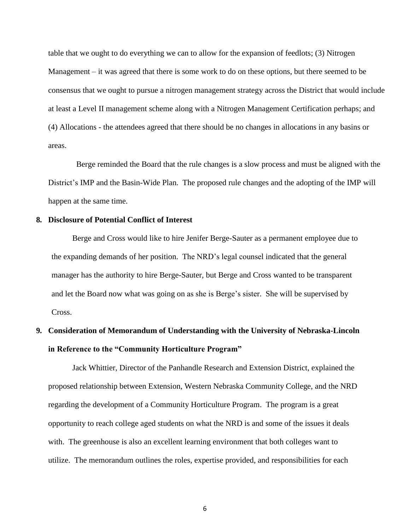table that we ought to do everything we can to allow for the expansion of feedlots; (3) Nitrogen Management – it was agreed that there is some work to do on these options, but there seemed to be consensus that we ought to pursue a nitrogen management strategy across the District that would include at least a Level II management scheme along with a Nitrogen Management Certification perhaps; and (4) Allocations - the attendees agreed that there should be no changes in allocations in any basins or areas.

 Berge reminded the Board that the rule changes is a slow process and must be aligned with the District's IMP and the Basin-Wide Plan. The proposed rule changes and the adopting of the IMP will happen at the same time.

#### **8. Disclosure of Potential Conflict of Interest**

Berge and Cross would like to hire Jenifer Berge-Sauter as a permanent employee due to the expanding demands of her position. The NRD's legal counsel indicated that the general manager has the authority to hire Berge-Sauter, but Berge and Cross wanted to be transparent and let the Board now what was going on as she is Berge's sister. She will be supervised by Cross.

# **9. Consideration of Memorandum of Understanding with the University of Nebraska-Lincoln in Reference to the "Community Horticulture Program"**

Jack Whittier, Director of the Panhandle Research and Extension District, explained the proposed relationship between Extension, Western Nebraska Community College, and the NRD regarding the development of a Community Horticulture Program. The program is a great opportunity to reach college aged students on what the NRD is and some of the issues it deals with. The greenhouse is also an excellent learning environment that both colleges want to utilize. The memorandum outlines the roles, expertise provided, and responsibilities for each

6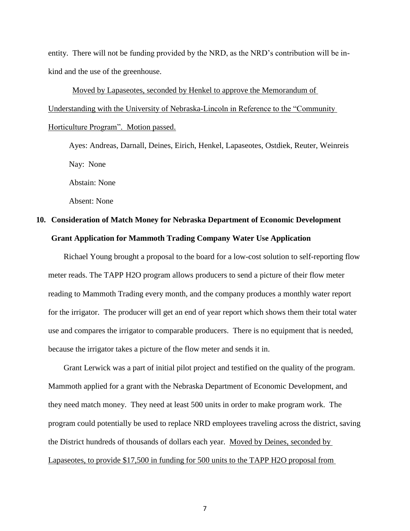entity. There will not be funding provided by the NRD, as the NRD's contribution will be inkind and the use of the greenhouse.

Moved by Lapaseotes, seconded by Henkel to approve the Memorandum of Understanding with the University of Nebraska-Lincoln in Reference to the "Community Horticulture Program". Motion passed.

Ayes: Andreas, Darnall, Deines, Eirich, Henkel, Lapaseotes, Ostdiek, Reuter, Weinreis Nay: None

Abstain: None

Absent: None

## **10. Consideration of Match Money for Nebraska Department of Economic Development Grant Application for Mammoth Trading Company Water Use Application**

Richael Young brought a proposal to the board for a low-cost solution to self-reporting flow meter reads. The TAPP H2O program allows producers to send a picture of their flow meter reading to Mammoth Trading every month, and the company produces a monthly water report for the irrigator. The producer will get an end of year report which shows them their total water use and compares the irrigator to comparable producers. There is no equipment that is needed, because the irrigator takes a picture of the flow meter and sends it in.

Grant Lerwick was a part of initial pilot project and testified on the quality of the program. Mammoth applied for a grant with the Nebraska Department of Economic Development, and they need match money. They need at least 500 units in order to make program work. The program could potentially be used to replace NRD employees traveling across the district, saving the District hundreds of thousands of dollars each year. Moved by Deines, seconded by Lapaseotes, to provide \$17,500 in funding for 500 units to the TAPP H2O proposal from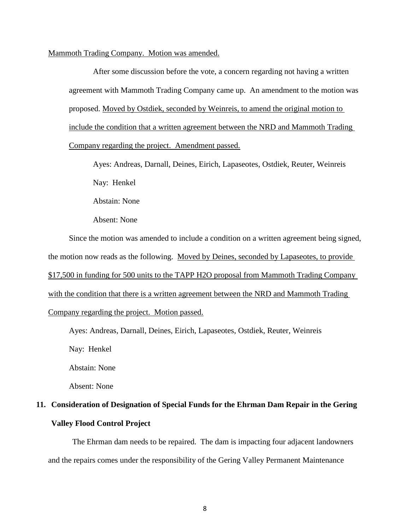#### Mammoth Trading Company. Motion was amended.

After some discussion before the vote, a concern regarding not having a written agreement with Mammoth Trading Company came up. An amendment to the motion was proposed. Moved by Ostdiek, seconded by Weinreis, to amend the original motion to include the condition that a written agreement between the NRD and Mammoth Trading Company regarding the project. Amendment passed.

Ayes: Andreas, Darnall, Deines, Eirich, Lapaseotes, Ostdiek, Reuter, Weinreis Nay: Henkel Abstain: None

Absent: None

Since the motion was amended to include a condition on a written agreement being signed, the motion now reads as the following. Moved by Deines, seconded by Lapaseotes, to provide \$17,500 in funding for 500 units to the TAPP H2O proposal from Mammoth Trading Company with the condition that there is a written agreement between the NRD and Mammoth Trading Company regarding the project. Motion passed.

Ayes: Andreas, Darnall, Deines, Eirich, Lapaseotes, Ostdiek, Reuter, Weinreis

Nay: Henkel

Abstain: None

Absent: None

# **11. Consideration of Designation of Special Funds for the Ehrman Dam Repair in the Gering Valley Flood Control Project**

The Ehrman dam needs to be repaired. The dam is impacting four adjacent landowners and the repairs comes under the responsibility of the Gering Valley Permanent Maintenance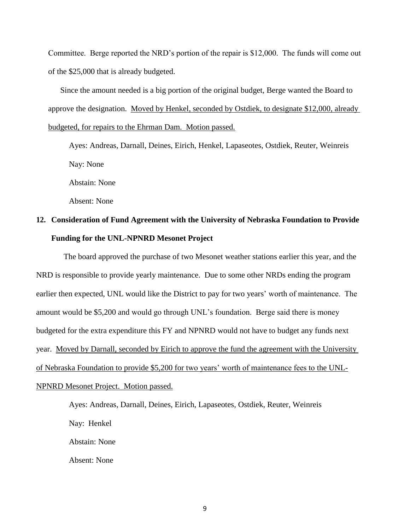Committee. Berge reported the NRD's portion of the repair is \$12,000. The funds will come out of the \$25,000 that is already budgeted.

Since the amount needed is a big portion of the original budget, Berge wanted the Board to approve the designation. Moved by Henkel, seconded by Ostdiek, to designate \$12,000, already budgeted, for repairs to the Ehrman Dam. Motion passed.

Ayes: Andreas, Darnall, Deines, Eirich, Henkel, Lapaseotes, Ostdiek, Reuter, Weinreis Nay: None

Abstain: None

Absent: None

# **12. Consideration of Fund Agreement with the University of Nebraska Foundation to Provide Funding for the UNL-NPNRD Mesonet Project**

The board approved the purchase of two Mesonet weather stations earlier this year, and the NRD is responsible to provide yearly maintenance. Due to some other NRDs ending the program earlier then expected, UNL would like the District to pay for two years' worth of maintenance. The amount would be \$5,200 and would go through UNL's foundation. Berge said there is money budgeted for the extra expenditure this FY and NPNRD would not have to budget any funds next year. Moved by Darnall, seconded by Eirich to approve the fund the agreement with the University of Nebraska Foundation to provide \$5,200 for two years' worth of maintenance fees to the UNL-NPNRD Mesonet Project. Motion passed.

> Ayes: Andreas, Darnall, Deines, Eirich, Lapaseotes, Ostdiek, Reuter, Weinreis Nay: Henkel Abstain: None Absent: None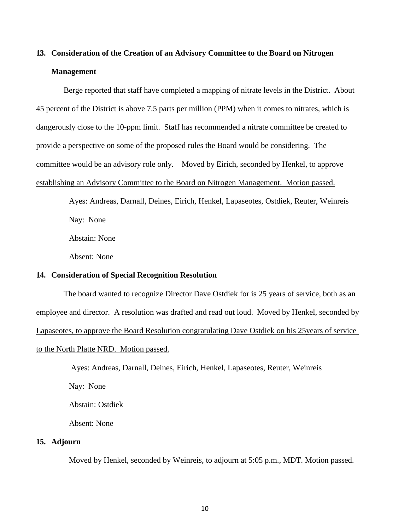# **13. Consideration of the Creation of an Advisory Committee to the Board on Nitrogen Management**

Berge reported that staff have completed a mapping of nitrate levels in the District. About 45 percent of the District is above 7.5 parts per million (PPM) when it comes to nitrates, which is dangerously close to the 10-ppm limit. Staff has recommended a nitrate committee be created to provide a perspective on some of the proposed rules the Board would be considering. The committee would be an advisory role only. Moved by Eirich, seconded by Henkel, to approve establishing an Advisory Committee to the Board on Nitrogen Management. Motion passed.

> Ayes: Andreas, Darnall, Deines, Eirich, Henkel, Lapaseotes, Ostdiek, Reuter, Weinreis Nay: None

Abstain: None

Absent: None

#### **14. Consideration of Special Recognition Resolution**

The board wanted to recognize Director Dave Ostdiek for is 25 years of service, both as an employee and director. A resolution was drafted and read out loud. Moved by Henkel, seconded by Lapaseotes, to approve the Board Resolution congratulating Dave Ostdiek on his 25years of service to the North Platte NRD. Motion passed.

Ayes: Andreas, Darnall, Deines, Eirich, Henkel, Lapaseotes, Reuter, Weinreis

Nay: None

Abstain: Ostdiek

Absent: None

### **15. Adjourn**

Moved by Henkel, seconded by Weinreis, to adjourn at 5:05 p.m., MDT. Motion passed.